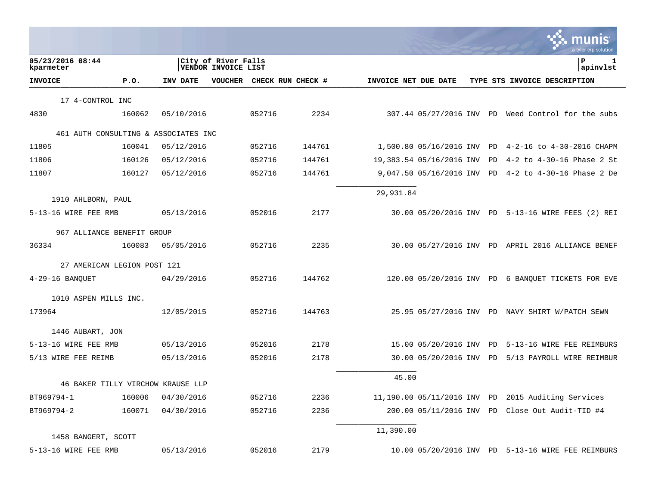|                               |                                      |            |                                            |        |                   |                      |                             |    | munis<br>a tyler erp solution                      |
|-------------------------------|--------------------------------------|------------|--------------------------------------------|--------|-------------------|----------------------|-----------------------------|----|----------------------------------------------------|
| 05/23/2016 08:44<br>kparmeter |                                      |            | City of River Falls<br>VENDOR INVOICE LIST |        |                   |                      |                             |    | ΙP<br>1<br> apinvlst                               |
| <b>INVOICE</b>                | P.0.                                 | INV DATE   | VOUCHER                                    |        | CHECK RUN CHECK # | INVOICE NET DUE DATE |                             |    | TYPE STS INVOICE DESCRIPTION                       |
| 17 4-CONTROL INC              |                                      |            |                                            |        |                   |                      |                             |    |                                                    |
| 4830                          | 160062                               | 05/10/2016 |                                            | 052716 | 2234              |                      |                             |    | 307.44 05/27/2016 INV PD Weed Control for the subs |
|                               | 461 AUTH CONSULTING & ASSOCIATES INC |            |                                            |        |                   |                      |                             |    |                                                    |
| 11805                         | 160041                               | 05/12/2016 |                                            | 052716 | 144761            |                      | 1,500.80 05/16/2016 INV PD  |    | 4-2-16 to 4-30-2016 CHAPM                          |
| 11806                         | 160126                               | 05/12/2016 |                                            | 052716 | 144761            |                      | 19,383.54 05/16/2016 INV    | PD | $4 - 2$ to $4 - 30 - 16$ Phase 2 St                |
| 11807                         | 160127                               | 05/12/2016 |                                            | 052716 | 144761            |                      | 9,047.50 05/16/2016 INV     | PD | $4 - 2$ to $4 - 30 - 16$ Phase 2 De                |
| 1910 AHLBORN, PAUL            |                                      |            |                                            |        |                   | 29,931.84            |                             |    |                                                    |
| 5-13-16 WIRE FEE RMB          |                                      | 05/13/2016 |                                            | 052016 | 2177              |                      |                             |    | 30.00 05/20/2016 INV PD 5-13-16 WIRE FEES (2) REI  |
|                               | 967 ALLIANCE BENEFIT GROUP           |            |                                            |        |                   |                      |                             |    |                                                    |
| 36334                         | 160083                               | 05/05/2016 |                                            | 052716 | 2235              |                      |                             |    | 30.00 05/27/2016 INV PD APRIL 2016 ALLIANCE BENEF  |
|                               | 27 AMERICAN LEGION POST 121          |            |                                            |        |                   |                      |                             |    |                                                    |
| $4-29-16$ BANQUET             |                                      | 04/29/2016 |                                            | 052716 | 144762            |                      |                             |    | 120.00 05/20/2016 INV PD 6 BANQUET TICKETS FOR EVE |
| 1010 ASPEN MILLS INC.         |                                      |            |                                            |        |                   |                      |                             |    |                                                    |
| 173964                        |                                      | 12/05/2015 |                                            | 052716 | 144763            |                      |                             |    | 25.95 05/27/2016 INV PD NAVY SHIRT W/PATCH SEWN    |
| 1446 AUBART, JON              |                                      |            |                                            |        |                   |                      |                             |    |                                                    |
| 5-13-16 WIRE FEE RMB          |                                      | 05/13/2016 |                                            | 052016 | 2178              |                      | 15.00 05/20/2016 INV PD     |    | 5-13-16 WIRE FEE REIMBURS                          |
| 5/13 WIRE FEE REIMB           |                                      | 05/13/2016 |                                            | 052016 | 2178              |                      | 30.00 05/20/2016 INV        | PD | 5/13 PAYROLL WIRE REIMBUR                          |
|                               | 46 BAKER TILLY VIRCHOW KRAUSE LLP    |            |                                            |        |                   | 45.00                |                             |    |                                                    |
| BT969794-1                    | 160006                               | 04/30/2016 |                                            | 052716 | 2236              |                      | 11,190.00 05/11/2016 INV PD |    | 2015 Auditing Services                             |
| BT969794-2                    | 160071                               | 04/30/2016 |                                            | 052716 | 2236              |                      | 200.00 05/11/2016 INV PD    |    | Close Out Audit-TID #4                             |
|                               |                                      |            |                                            |        |                   | 11,390.00            |                             |    |                                                    |
| 1458 BANGERT, SCOTT           |                                      |            |                                            |        |                   |                      |                             |    |                                                    |
| 5-13-16 WIRE FEE RMB          |                                      | 05/13/2016 |                                            | 052016 | 2179              |                      |                             |    | 10.00 05/20/2016 INV PD 5-13-16 WIRE FEE REIMBURS  |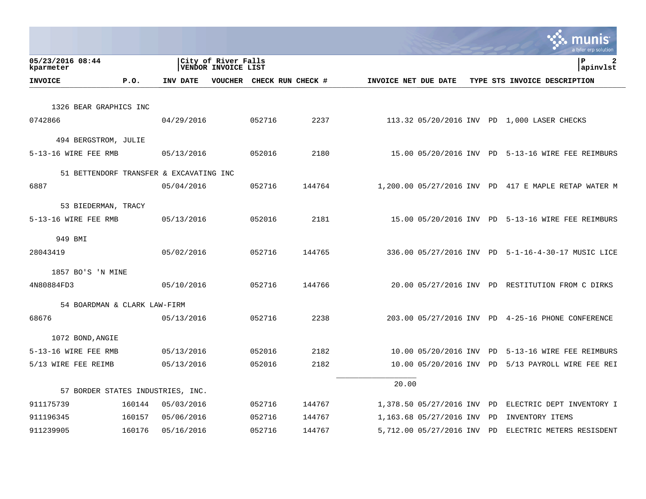|                               |                                         |            |                                                   |        |                   |                      |                            |    | munis<br>a tyler erp solution                      |
|-------------------------------|-----------------------------------------|------------|---------------------------------------------------|--------|-------------------|----------------------|----------------------------|----|----------------------------------------------------|
| 05/23/2016 08:44<br>kparmeter |                                         |            | City of River Falls<br><b>VENDOR INVOICE LIST</b> |        |                   |                      |                            |    | ΙP<br>2<br>apinvlst                                |
| <b>INVOICE</b>                | P.0.                                    | INV DATE   | VOUCHER                                           |        | CHECK RUN CHECK # | INVOICE NET DUE DATE |                            |    | TYPE STS INVOICE DESCRIPTION                       |
|                               |                                         |            |                                                   |        |                   |                      |                            |    |                                                    |
|                               | 1326 BEAR GRAPHICS INC                  |            |                                                   |        |                   |                      |                            |    |                                                    |
| 0742866                       |                                         | 04/29/2016 |                                                   | 052716 | 2237              |                      |                            |    | 113.32 05/20/2016 INV PD 1,000 LASER CHECKS        |
|                               | 494 BERGSTROM, JULIE                    |            |                                                   |        |                   |                      |                            |    |                                                    |
| 5-13-16 WIRE FEE RMB          |                                         | 05/13/2016 |                                                   | 052016 | 2180              |                      |                            |    | 15.00 05/20/2016 INV PD 5-13-16 WIRE FEE REIMBURS  |
|                               |                                         |            |                                                   |        |                   |                      |                            |    |                                                    |
|                               | 51 BETTENDORF TRANSFER & EXCAVATING INC |            |                                                   |        |                   |                      |                            |    |                                                    |
| 6887                          |                                         | 05/04/2016 |                                                   | 052716 | 144764            |                      | 1,200.00 05/27/2016 INV PD |    | 417 E MAPLE RETAP WATER M                          |
|                               | 53 BIEDERMAN, TRACY                     |            |                                                   |        |                   |                      |                            |    |                                                    |
| 5-13-16 WIRE FEE RMB          |                                         | 05/13/2016 |                                                   | 052016 | 2181              |                      |                            |    | 15.00 05/20/2016 INV PD 5-13-16 WIRE FEE REIMBURS  |
| 949 BMI                       |                                         |            |                                                   |        |                   |                      |                            |    |                                                    |
| 28043419                      |                                         | 05/02/2016 |                                                   | 052716 | 144765            |                      |                            |    | 336.00 05/27/2016 INV PD 5-1-16-4-30-17 MUSIC LICE |
|                               |                                         |            |                                                   |        |                   |                      |                            |    |                                                    |
| 1857 BO'S 'N MINE             |                                         |            |                                                   |        |                   |                      |                            |    |                                                    |
| 4N80884FD3                    |                                         | 05/10/2016 |                                                   | 052716 | 144766            |                      |                            |    | 20.00 05/27/2016 INV PD RESTITUTION FROM C DIRKS   |
|                               | 54 BOARDMAN & CLARK LAW-FIRM            |            |                                                   |        |                   |                      |                            |    |                                                    |
| 68676                         |                                         | 05/13/2016 |                                                   | 052716 | 2238              |                      |                            |    | 203.00 05/27/2016 INV PD 4-25-16 PHONE CONFERENCE  |
|                               |                                         |            |                                                   |        |                   |                      |                            |    |                                                    |
| 1072 BOND, ANGIE              |                                         |            |                                                   |        |                   |                      |                            |    |                                                    |
| 5-13-16 WIRE FEE RMB          |                                         | 05/13/2016 |                                                   | 052016 | 2182              |                      | 10.00 05/20/2016 INV       | PD | 5-13-16 WIRE FEE REIMBURS                          |
| 5/13 WIRE FEE REIMB           |                                         | 05/13/2016 |                                                   | 052016 | 2182              |                      | 10.00 05/20/2016 INV       | PD | 5/13 PAYROLL WIRE FEE REI                          |
|                               |                                         |            |                                                   |        |                   | 20.00                |                            |    |                                                    |
|                               | 57 BORDER STATES INDUSTRIES, INC.       |            |                                                   |        |                   |                      |                            |    |                                                    |
| 911175739                     | 160144                                  | 05/03/2016 |                                                   | 052716 | 144767            |                      | 1,378.50 05/27/2016 INV    | PD | ELECTRIC DEPT INVENTORY I                          |
| 911196345                     | 160157                                  | 05/06/2016 |                                                   | 052716 | 144767            |                      | 1,163.68 05/27/2016 INV    | PD | INVENTORY ITEMS                                    |
| 911239905                     | 160176                                  | 05/16/2016 |                                                   | 052716 | 144767            |                      | 5,712.00 05/27/2016 INV    | PD | ELECTRIC METERS RESISDENT                          |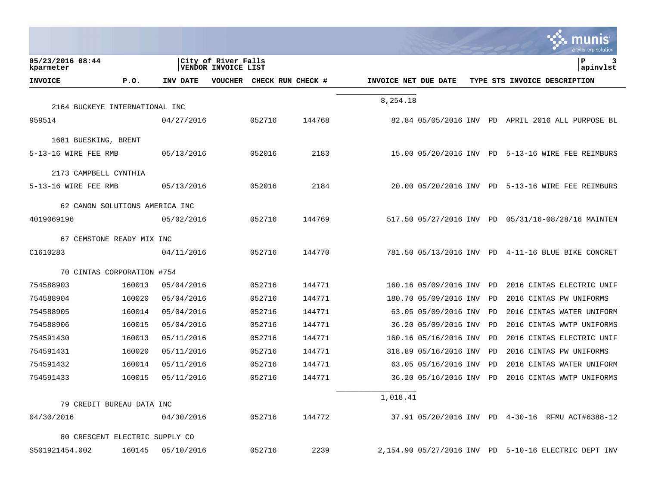|                               |                                |            |                                            |        |                   |                      |                            |    | nıs<br>a tyler erp solution                        |
|-------------------------------|--------------------------------|------------|--------------------------------------------|--------|-------------------|----------------------|----------------------------|----|----------------------------------------------------|
| 05/23/2016 08:44<br>kparmeter |                                |            | City of River Falls<br>VENDOR INVOICE LIST |        |                   |                      |                            |    | l P<br>3<br>apinvlst                               |
| <b>INVOICE</b>                | P.0.                           | INV DATE   | <b>VOUCHER</b>                             |        | CHECK RUN CHECK # | INVOICE NET DUE DATE |                            |    | TYPE STS INVOICE DESCRIPTION                       |
|                               |                                |            |                                            |        |                   | 8,254.18             |                            |    |                                                    |
| 959514                        | 2164 BUCKEYE INTERNATIONAL INC |            |                                            |        |                   |                      |                            |    |                                                    |
|                               |                                | 04/27/2016 |                                            | 052716 | 144768            |                      |                            |    | 82.84 05/05/2016 INV PD APRIL 2016 ALL PURPOSE BL  |
| 1681 BUESKING, BRENT          |                                |            |                                            |        |                   |                      |                            |    |                                                    |
| 5-13-16 WIRE FEE RMB          |                                | 05/13/2016 |                                            | 052016 | 2183              |                      |                            |    | 15.00 05/20/2016 INV PD 5-13-16 WIRE FEE REIMBURS  |
| 2173 CAMPBELL CYNTHIA         |                                |            |                                            |        |                   |                      |                            |    |                                                    |
| 5-13-16 WIRE FEE RMB          |                                | 05/13/2016 |                                            | 052016 | 2184              |                      |                            |    | 20.00 05/20/2016 INV PD 5-13-16 WIRE FEE REIMBURS  |
|                               | 62 CANON SOLUTIONS AMERICA INC |            |                                            |        |                   |                      |                            |    |                                                    |
| 4019069196                    |                                | 05/02/2016 |                                            | 052716 | 144769            |                      |                            |    | 517.50 05/27/2016 INV PD 05/31/16-08/28/16 MAINTEN |
|                               | 67 CEMSTONE READY MIX INC      |            |                                            |        |                   |                      |                            |    |                                                    |
| C1610283                      |                                | 04/11/2016 |                                            | 052716 | 144770            |                      |                            |    | 781.50 05/13/2016 INV PD 4-11-16 BLUE BIKE CONCRET |
|                               | 70 CINTAS CORPORATION #754     |            |                                            |        |                   |                      |                            |    |                                                    |
| 754588903                     | 160013                         | 05/04/2016 |                                            | 052716 | 144771            |                      | 160.16 05/09/2016 INV      | PD | 2016 CINTAS ELECTRIC UNIF                          |
| 754588904                     | 160020                         | 05/04/2016 |                                            | 052716 | 144771            |                      | 180.70 05/09/2016 INV      | PD | 2016 CINTAS PW UNIFORMS                            |
| 754588905                     | 160014                         | 05/04/2016 |                                            | 052716 | 144771            |                      | 63.05 05/09/2016 INV       | PD | 2016 CINTAS WATER UNIFORM                          |
| 754588906                     | 160015                         | 05/04/2016 |                                            | 052716 | 144771            |                      | 36.20 05/09/2016 INV       | PD | 2016 CINTAS WWTP UNIFORMS                          |
| 754591430                     | 160013                         | 05/11/2016 |                                            | 052716 | 144771            |                      | 160.16 05/16/2016 INV      | PD | 2016 CINTAS ELECTRIC UNIF                          |
| 754591431                     | 160020                         | 05/11/2016 |                                            | 052716 | 144771            |                      | 318.89 05/16/2016 INV      | PD | 2016 CINTAS PW UNIFORMS                            |
| 754591432                     | 160014                         | 05/11/2016 |                                            | 052716 | 144771            |                      | 63.05 05/16/2016 INV       | PD | 2016 CINTAS WATER UNIFORM                          |
| 754591433                     | 160015                         | 05/11/2016 |                                            | 052716 | 144771            |                      | 36.20 05/16/2016 INV       | PD | 2016 CINTAS WWTP UNIFORMS                          |
|                               | 79 CREDIT BUREAU DATA INC      |            |                                            |        |                   | 1,018.41             |                            |    |                                                    |
|                               |                                |            |                                            |        |                   |                      |                            |    |                                                    |
| 04/30/2016                    |                                | 04/30/2016 |                                            | 052716 | 144772            |                      |                            |    | 37.91 05/20/2016 INV PD 4-30-16 RFMU ACT#6388-12   |
|                               | 80 CRESCENT ELECTRIC SUPPLY CO |            |                                            |        |                   |                      |                            |    |                                                    |
| S501921454.002                | 160145                         | 05/10/2016 |                                            | 052716 | 2239              |                      | 2,154.90 05/27/2016 INV PD |    | 5-10-16 ELECTRIC DEPT INV                          |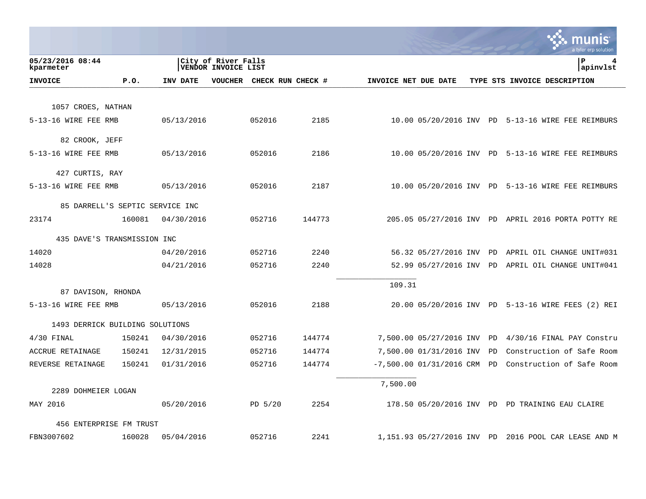|                                 |        |            |                                            |           |                   |                      |                            |    | a tyler erp solution                                 |
|---------------------------------|--------|------------|--------------------------------------------|-----------|-------------------|----------------------|----------------------------|----|------------------------------------------------------|
| 05/23/2016 08:44<br>kparmeter   |        |            | City of River Falls<br>VENDOR INVOICE LIST |           |                   |                      |                            |    | l P<br>4<br>apinvlst                                 |
| <b>INVOICE</b>                  | P.0.   | INV DATE   | VOUCHER                                    |           | CHECK RUN CHECK # | INVOICE NET DUE DATE |                            |    | TYPE STS INVOICE DESCRIPTION                         |
|                                 |        |            |                                            |           |                   |                      |                            |    |                                                      |
| 1057 CROES, NATHAN              |        |            |                                            |           |                   |                      |                            |    |                                                      |
| 5-13-16 WIRE FEE RMB            |        | 05/13/2016 |                                            | 052016    | 2185              |                      |                            |    | 10.00 05/20/2016 INV PD 5-13-16 WIRE FEE REIMBURS    |
| 82 CROOK, JEFF                  |        |            |                                            |           |                   |                      |                            |    |                                                      |
| 5-13-16 WIRE FEE RMB            |        | 05/13/2016 |                                            | 052016    | 2186              |                      |                            |    | 10.00 05/20/2016 INV PD 5-13-16 WIRE FEE REIMBURS    |
| 427 CURTIS, RAY                 |        |            |                                            |           |                   |                      |                            |    |                                                      |
| 5-13-16 WIRE FEE RMB            |        | 05/13/2016 |                                            | 052016    | 2187              |                      |                            |    | 10.00 05/20/2016 INV PD 5-13-16 WIRE FEE REIMBURS    |
| 85 DARRELL'S SEPTIC SERVICE INC |        |            |                                            |           |                   |                      |                            |    |                                                      |
| 23174                           | 160081 | 04/30/2016 |                                            | 052716    | 144773            |                      |                            |    | 205.05 05/27/2016 INV PD APRIL 2016 PORTA POTTY RE   |
|                                 |        |            |                                            |           |                   |                      |                            |    |                                                      |
| 435 DAVE'S TRANSMISSION INC     |        |            |                                            |           |                   |                      |                            |    |                                                      |
| 14020                           |        | 04/20/2016 |                                            | 052716    | 2240              |                      |                            |    | 56.32 05/27/2016 INV PD APRIL OIL CHANGE UNIT#031    |
| 14028                           |        | 04/21/2016 |                                            | 052716    | 2240              |                      |                            |    | 52.99 05/27/2016 INV PD APRIL OIL CHANGE UNIT#041    |
| 87 DAVISON, RHONDA              |        |            |                                            |           |                   | 109.31               |                            |    |                                                      |
| 5-13-16 WIRE FEE RMB            |        | 05/13/2016 |                                            | 052016    | 2188              |                      |                            |    | 20.00 05/20/2016 INV PD 5-13-16 WIRE FEES (2) REI    |
|                                 |        |            |                                            |           |                   |                      |                            |    |                                                      |
| 1493 DERRICK BUILDING SOLUTIONS |        |            |                                            |           |                   |                      |                            |    |                                                      |
| $4/30$ FINAL                    | 150241 | 04/30/2016 |                                            | 052716    | 144774            |                      | 7,500.00 05/27/2016 INV    | PD | 4/30/16 FINAL PAY Constru                            |
| ACCRUE RETAINAGE                | 150241 | 12/31/2015 |                                            | 052716    | 144774            |                      | 7,500.00 01/31/2016 INV    | PD | Construction of Safe Room                            |
| REVERSE RETAINAGE               | 150241 | 01/31/2016 |                                            | 052716    | 144774            |                      | $-7,500.00 01/31/2016$ CRM | PD | Construction of Safe Room                            |
| 2289 DOHMEIER LOGAN             |        |            |                                            |           |                   | 7,500.00             |                            |    |                                                      |
| MAY 2016                        |        | 05/20/2016 |                                            | $PD$ 5/20 | 2254              |                      |                            |    | 178.50 05/20/2016 INV PD PD TRAINING EAU CLAIRE      |
|                                 |        |            |                                            |           |                   |                      |                            |    |                                                      |
| 456 ENTERPRISE FM TRUST         |        |            |                                            |           |                   |                      |                            |    |                                                      |
| FBN3007602                      | 160028 | 05/04/2016 |                                            | 052716    | 2241              |                      |                            |    | 1,151.93 05/27/2016 INV PD 2016 POOL CAR LEASE AND M |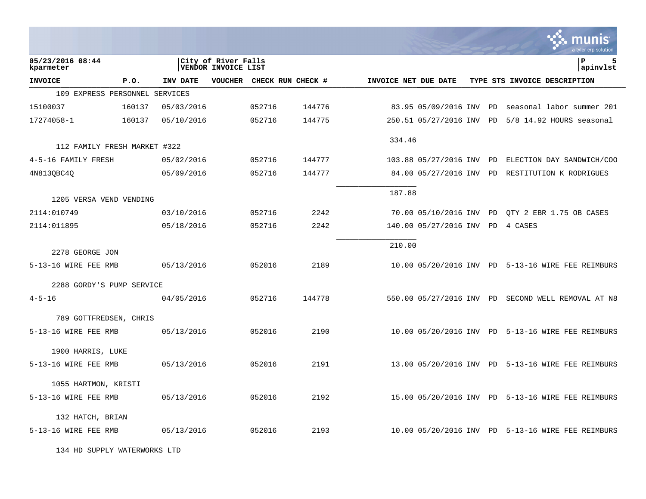|                                |        |            |                                            |        |                   |                      |                          |           | a tyler erp solution                              |
|--------------------------------|--------|------------|--------------------------------------------|--------|-------------------|----------------------|--------------------------|-----------|---------------------------------------------------|
| 05/23/2016 08:44<br>kparmeter  |        |            | City of River Falls<br>VENDOR INVOICE LIST |        |                   |                      |                          |           | P<br>5<br>apinvlst                                |
| <b>INVOICE</b>                 | P.0.   | INV DATE   | <b>VOUCHER</b>                             |        | CHECK RUN CHECK # | INVOICE NET DUE DATE |                          |           | TYPE STS INVOICE DESCRIPTION                      |
| 109 EXPRESS PERSONNEL SERVICES |        |            |                                            |        |                   |                      |                          |           |                                                   |
| 15100037                       | 160137 | 05/03/2016 |                                            | 052716 | 144776            |                      | 83.95 05/09/2016 INV     | PD        | seasonal labor summer 201                         |
| 17274058-1                     | 160137 | 05/10/2016 |                                            | 052716 | 144775            |                      | 250.51 05/27/2016 INV PD |           | 5/8 14.92 HOURS seasonal                          |
| 112 FAMILY FRESH MARKET #322   |        |            |                                            |        |                   | 334.46               |                          |           |                                                   |
| 4-5-16 FAMILY FRESH            |        | 05/02/2016 |                                            | 052716 | 144777            |                      | 103.88 05/27/2016 INV    | PD        | ELECTION DAY SANDWICH/COO                         |
| 4N8130BC40                     |        | 05/09/2016 |                                            | 052716 | 144777            |                      | 84.00 05/27/2016 INV     | <b>PD</b> | RESTITUTION K RODRIGUES                           |
| 1205 VERSA VEND VENDING        |        |            |                                            |        |                   | 187.88               |                          |           |                                                   |
| 2114:010749                    |        | 03/10/2016 |                                            | 052716 | 2242              |                      | 70.00 05/10/2016 INV PD  |           | OTY 2 EBR 1.75 OB CASES                           |
| 2114:011895                    |        | 05/18/2016 |                                            | 052716 | 2242              |                      | 140.00 05/27/2016 INV    | <b>PD</b> | 4 CASES                                           |
| 2278 GEORGE JON                |        |            |                                            |        |                   | 210.00               |                          |           |                                                   |
| 5-13-16 WIRE FEE RMB           |        | 05/13/2016 |                                            | 052016 | 2189              |                      |                          |           | 10.00 05/20/2016 INV PD 5-13-16 WIRE FEE REIMBURS |
| 2288 GORDY'S PUMP SERVICE      |        |            |                                            |        |                   |                      |                          |           |                                                   |
| $4 - 5 - 16$                   |        | 04/05/2016 |                                            | 052716 | 144778            |                      | 550.00 05/27/2016 INV PD |           | SECOND WELL REMOVAL AT N8                         |
| 789 GOTTFREDSEN, CHRIS         |        |            |                                            |        |                   |                      |                          |           |                                                   |
| 5-13-16 WIRE FEE RMB           |        | 05/13/2016 |                                            | 052016 | 2190              |                      |                          |           | 10.00 05/20/2016 INV PD 5-13-16 WIRE FEE REIMBURS |
| 1900 HARRIS, LUKE              |        |            |                                            |        |                   |                      |                          |           |                                                   |
| 5-13-16 WIRE FEE RMB           |        | 05/13/2016 |                                            | 052016 | 2191              |                      |                          |           | 13.00 05/20/2016 INV PD 5-13-16 WIRE FEE REIMBURS |
| 1055 HARTMON, KRISTI           |        |            |                                            |        |                   |                      |                          |           |                                                   |
| 5-13-16 WIRE FEE RMB           |        | 05/13/2016 |                                            | 052016 | 2192              |                      |                          |           | 15.00 05/20/2016 INV PD 5-13-16 WIRE FEE REIMBURS |
| 132 HATCH, BRIAN               |        |            |                                            |        |                   |                      |                          |           |                                                   |
| 5-13-16 WIRE FEE RMB           |        | 05/13/2016 |                                            | 052016 | 2193              |                      |                          |           | 10.00 05/20/2016 INV PD 5-13-16 WIRE FEE REIMBURS |

134 HD SUPPLY WATERWORKS LTD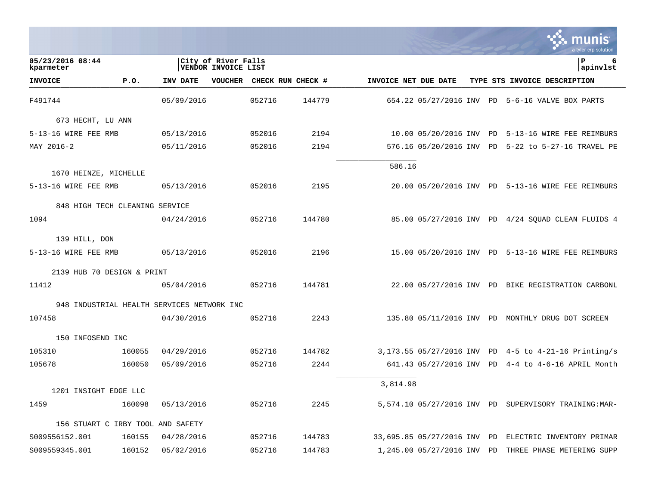|                                            |        |            |                                            |        |                   |                      |                             |    | munis<br>a tyler erp solution                        |
|--------------------------------------------|--------|------------|--------------------------------------------|--------|-------------------|----------------------|-----------------------------|----|------------------------------------------------------|
| 05/23/2016 08:44<br>kparmeter              |        |            | City of River Falls<br>VENDOR INVOICE LIST |        |                   |                      |                             |    | P<br>6<br>apinvlst                                   |
| <b>INVOICE</b>                             | P.0.   | INV DATE   | <b>VOUCHER</b>                             |        | CHECK RUN CHECK # | INVOICE NET DUE DATE |                             |    | TYPE STS INVOICE DESCRIPTION                         |
| F491744                                    |        | 05/09/2016 |                                            | 052716 | 144779            |                      |                             |    | 654.22 05/27/2016 INV PD 5-6-16 VALVE BOX PARTS      |
| 673 HECHT, LU ANN                          |        |            |                                            |        |                   |                      |                             |    |                                                      |
| 5-13-16 WIRE FEE RMB                       |        | 05/13/2016 |                                            | 052016 | 2194              |                      | 10.00 05/20/2016 INV PD     |    | 5-13-16 WIRE FEE REIMBURS                            |
| MAY 2016-2                                 |        | 05/11/2016 |                                            | 052016 | 2194              |                      | 576.16 05/20/2016 INV PD    |    | 5-22 to 5-27-16 TRAVEL PE                            |
| 1670 HEINZE, MICHELLE                      |        |            |                                            |        |                   | 586.16               |                             |    |                                                      |
| 5-13-16 WIRE FEE RMB                       |        | 05/13/2016 |                                            | 052016 | 2195              |                      |                             |    | 20.00 05/20/2016 INV PD 5-13-16 WIRE FEE REIMBURS    |
| 848 HIGH TECH CLEANING SERVICE             |        |            |                                            |        |                   |                      |                             |    |                                                      |
| 1094                                       |        | 04/24/2016 |                                            | 052716 | 144780            |                      |                             |    | 85.00 05/27/2016 INV PD 4/24 SOUAD CLEAN FLUIDS 4    |
| 139 HILL, DON                              |        |            |                                            |        |                   |                      |                             |    |                                                      |
| 5-13-16 WIRE FEE RMB                       |        | 05/13/2016 |                                            | 052016 | 2196              |                      |                             |    | 15.00 05/20/2016 INV PD 5-13-16 WIRE FEE REIMBURS    |
| 2139 HUB 70 DESIGN & PRINT                 |        |            |                                            |        |                   |                      |                             |    |                                                      |
| 11412                                      |        | 05/04/2016 |                                            | 052716 | 144781            |                      |                             |    | 22.00 05/27/2016 INV PD BIKE REGISTRATION CARBONL    |
| 948 INDUSTRIAL HEALTH SERVICES NETWORK INC |        |            |                                            |        |                   |                      |                             |    |                                                      |
| 107458                                     |        | 04/30/2016 |                                            | 052716 | 2243              |                      |                             |    | 135.80 05/11/2016 INV PD MONTHLY DRUG DOT SCREEN     |
| 150 INFOSEND INC                           |        |            |                                            |        |                   |                      |                             |    |                                                      |
| 105310                                     | 160055 | 04/29/2016 |                                            | 052716 | 144782            |                      | 3,173.55 05/27/2016 INV PD  |    | $4-5$ to $4-21-16$ Printing/s                        |
| 105678                                     | 160050 | 05/09/2016 |                                            | 052716 | 2244              |                      |                             |    | 641.43 05/27/2016 INV PD 4-4 to 4-6-16 APRIL Month   |
| 1201 INSIGHT EDGE LLC                      |        |            |                                            |        |                   | 3,814.98             |                             |    |                                                      |
| 1459                                       | 160098 | 05/13/2016 |                                            | 052716 | 2245              |                      |                             |    | 5,574.10 05/27/2016 INV PD SUPERVISORY TRAINING:MAR- |
| 156 STUART C IRBY TOOL AND SAFETY          |        |            |                                            |        |                   |                      |                             |    |                                                      |
| S009556152.001                             | 160155 | 04/28/2016 |                                            | 052716 | 144783            |                      | 33,695.85 05/27/2016 INV PD |    | ELECTRIC INVENTORY PRIMAR                            |
| S009559345.001                             | 160152 | 05/02/2016 |                                            | 052716 | 144783            |                      | 1,245.00 05/27/2016 INV     | PD | THREE PHASE METERING SUPP                            |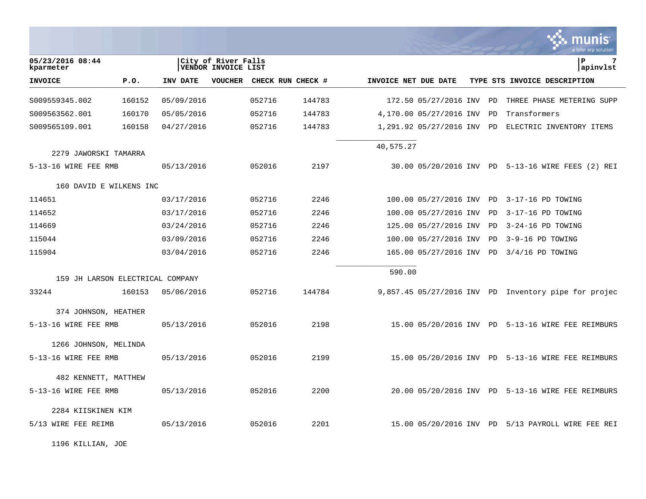|                                  |        |            |                                            |        |                   |                      |                         |    | munis<br>a tyler erp solutior                          |
|----------------------------------|--------|------------|--------------------------------------------|--------|-------------------|----------------------|-------------------------|----|--------------------------------------------------------|
| 05/23/2016 08:44<br>kparmeter    |        |            | City of River Falls<br>VENDOR INVOICE LIST |        |                   |                      |                         |    | l P<br>7<br> apinvlst                                  |
| <b>INVOICE</b>                   | P.O.   | INV DATE   | <b>VOUCHER</b>                             |        | CHECK RUN CHECK # | INVOICE NET DUE DATE |                         |    | TYPE STS INVOICE DESCRIPTION                           |
| S009559345.002                   | 160152 | 05/09/2016 |                                            | 052716 | 144783            |                      | 172.50 05/27/2016 INV   | PD | THREE PHASE METERING SUPP                              |
| S009563562.001                   | 160170 | 05/05/2016 |                                            | 052716 | 144783            |                      | 4,170.00 05/27/2016 INV | PD | Transformers                                           |
| S009565109.001                   | 160158 | 04/27/2016 |                                            | 052716 | 144783            |                      | 1,291.92 05/27/2016 INV | PD | ELECTRIC INVENTORY ITEMS                               |
| 2279 JAWORSKI TAMARRA            |        |            |                                            |        |                   | 40,575.27            |                         |    |                                                        |
| 5-13-16 WIRE FEE RMB             |        | 05/13/2016 |                                            | 052016 | 2197              |                      |                         |    | 30.00 05/20/2016 INV PD 5-13-16 WIRE FEES (2) REI      |
| 160 DAVID E WILKENS INC          |        |            |                                            |        |                   |                      |                         |    |                                                        |
| 114651                           |        | 03/17/2016 |                                            | 052716 | 2246              |                      | 100.00 05/27/2016 INV   | PD | 3-17-16 PD TOWING                                      |
| 114652                           |        | 03/17/2016 |                                            | 052716 | 2246              |                      | 100.00 05/27/2016 INV   | PD | 3-17-16 PD TOWING                                      |
| 114669                           |        | 03/24/2016 |                                            | 052716 | 2246              |                      | 125.00 05/27/2016 INV   | PD | 3-24-16 PD TOWING                                      |
| 115044                           |        | 03/09/2016 |                                            | 052716 | 2246              |                      | 100.00 05/27/2016 INV   | PD | 3-9-16 PD TOWING                                       |
| 115904                           |        | 03/04/2016 |                                            | 052716 | 2246              |                      | 165.00 05/27/2016 INV   | PD | $3/4/16$ PD TOWING                                     |
| 159 JH LARSON ELECTRICAL COMPANY |        |            |                                            |        |                   | 590.00               |                         |    |                                                        |
| 33244                            | 160153 | 05/06/2016 |                                            | 052716 | 144784            |                      |                         |    | $9,857.45$ 05/27/2016 INV PD Inventory pipe for projec |
| 374 JOHNSON, HEATHER             |        |            |                                            |        |                   |                      |                         |    |                                                        |
| 5-13-16 WIRE FEE RMB             |        | 05/13/2016 |                                            | 052016 | 2198              |                      |                         |    | 15.00 05/20/2016 INV PD 5-13-16 WIRE FEE REIMBURS      |
| 1266 JOHNSON, MELINDA            |        |            |                                            |        |                   |                      |                         |    |                                                        |
| 5-13-16 WIRE FEE RMB             |        | 05/13/2016 |                                            | 052016 | 2199              |                      |                         |    | 15.00 05/20/2016 INV PD 5-13-16 WIRE FEE REIMBURS      |
| 482 KENNETT, MATTHEW             |        |            |                                            |        |                   |                      |                         |    |                                                        |
| 5-13-16 WIRE FEE RMB             |        | 05/13/2016 |                                            | 052016 | 2200              |                      |                         |    | 20.00 05/20/2016 INV PD 5-13-16 WIRE FEE REIMBURS      |
| 2284 KIISKINEN KIM               |        |            |                                            |        |                   |                      |                         |    |                                                        |
| 5/13 WIRE FEE REIMB              |        | 05/13/2016 |                                            | 052016 | 2201              |                      |                         |    | 15.00 05/20/2016 INV PD 5/13 PAYROLL WIRE FEE REI      |

 $\bullet$ 

1196 KILLIAN, JOE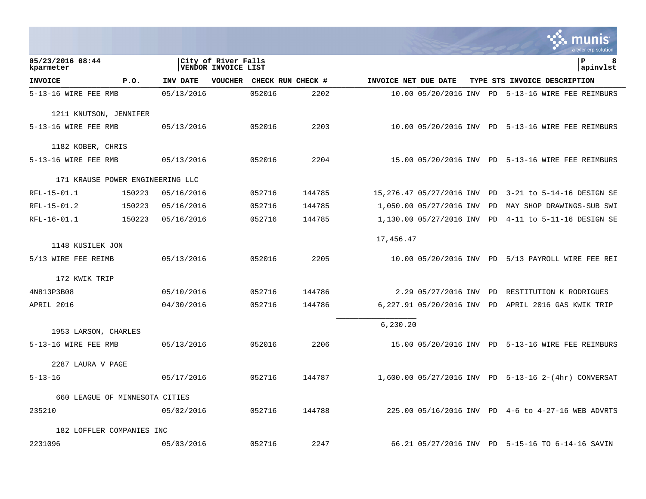|                                  |        |            |                                            |                   |        |                      |                            |           | a tyler erp solution                                 |
|----------------------------------|--------|------------|--------------------------------------------|-------------------|--------|----------------------|----------------------------|-----------|------------------------------------------------------|
| 05/23/2016 08:44<br>kparmeter    |        |            | City of River Falls<br>VENDOR INVOICE LIST |                   |        |                      |                            |           | lР<br>8<br>apinvlst                                  |
| <b>INVOICE</b>                   | P.0.   | INV DATE   | <b>VOUCHER</b>                             | CHECK RUN CHECK # |        | INVOICE NET DUE DATE |                            |           | TYPE STS INVOICE DESCRIPTION                         |
| 5-13-16 WIRE FEE RMB             |        | 05/13/2016 |                                            | 052016            | 2202   |                      |                            |           | 10.00 05/20/2016 INV PD 5-13-16 WIRE FEE REIMBURS    |
| 1211 KNUTSON, JENNIFER           |        |            |                                            |                   |        |                      |                            |           |                                                      |
| 5-13-16 WIRE FEE RMB             |        | 05/13/2016 |                                            | 052016            | 2203   |                      |                            |           | 10.00 05/20/2016 INV PD 5-13-16 WIRE FEE REIMBURS    |
| 1182 KOBER, CHRIS                |        |            |                                            |                   |        |                      |                            |           |                                                      |
| 5-13-16 WIRE FEE RMB             |        | 05/13/2016 |                                            | 052016            | 2204   |                      |                            |           | 15.00 05/20/2016 INV PD 5-13-16 WIRE FEE REIMBURS    |
| 171 KRAUSE POWER ENGINEERING LLC |        |            |                                            |                   |        |                      |                            |           |                                                      |
| RFL-15-01.1                      | 150223 | 05/16/2016 |                                            | 052716            | 144785 |                      | 15,276.47 05/27/2016 INV   | PD        | 3-21 to 5-14-16 DESIGN SE                            |
| RFL-15-01.2                      | 150223 | 05/16/2016 |                                            | 052716            | 144785 |                      | 1,050.00 05/27/2016 INV    | PD        | MAY SHOP DRAWINGS-SUB SWI                            |
| RFL-16-01.1                      | 150223 | 05/16/2016 |                                            | 052716            | 144785 |                      | 1,130.00 05/27/2016 INV PD |           | 4-11 to 5-11-16 DESIGN SE                            |
|                                  |        |            |                                            |                   |        | 17,456.47            |                            |           |                                                      |
| 1148 KUSILEK JON                 |        |            |                                            |                   |        |                      |                            |           |                                                      |
| 5/13 WIRE FEE REIMB              |        | 05/13/2016 |                                            | 052016            | 2205   |                      |                            |           | 10.00 05/20/2016 INV PD 5/13 PAYROLL WIRE FEE REI    |
| 172 KWIK TRIP                    |        |            |                                            |                   |        |                      |                            |           |                                                      |
| 4N813P3B08                       |        | 05/10/2016 |                                            | 052716            | 144786 |                      | 2.29 05/27/2016 INV        | <b>PD</b> | RESTITUTION K RODRIGUES                              |
| APRIL 2016                       |        | 04/30/2016 |                                            | 052716            | 144786 |                      | 6,227.91 05/20/2016 INV    | PD        | APRIL 2016 GAS KWIK TRIP                             |
|                                  |        |            |                                            |                   |        | 6,230.20             |                            |           |                                                      |
| 1953 LARSON, CHARLES             |        |            |                                            |                   |        |                      |                            |           |                                                      |
| 5-13-16 WIRE FEE RMB             |        | 05/13/2016 |                                            | 052016            | 2206   |                      |                            |           | 15.00 05/20/2016 INV PD 5-13-16 WIRE FEE REIMBURS    |
| 2287 LAURA V PAGE                |        |            |                                            |                   |        |                      |                            |           |                                                      |
| $5 - 13 - 16$                    |        | 05/17/2016 |                                            | 052716            | 144787 |                      |                            |           | 1,600.00 05/27/2016 INV PD 5-13-16 2-(4hr) CONVERSAT |
| 660 LEAGUE OF MINNESOTA CITIES   |        |            |                                            |                   |        |                      |                            |           |                                                      |
| 235210                           |        | 05/02/2016 |                                            | 052716            | 144788 |                      |                            |           | 225.00 05/16/2016 INV PD 4-6 to 4-27-16 WEB ADVRTS   |
| 182 LOFFLER COMPANIES INC        |        |            |                                            |                   |        |                      |                            |           |                                                      |
| 2231096                          |        | 05/03/2016 |                                            | 052716            | 2247   |                      |                            |           | 66.21 05/27/2016 INV PD 5-15-16 TO 6-14-16 SAVIN     |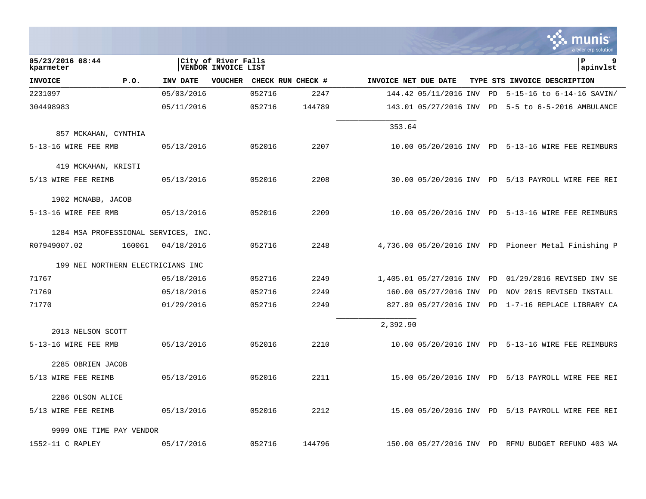|                                      |        |            |                                            |        |                   |                      |                          |    | munis<br>a tyler erp solution                        |
|--------------------------------------|--------|------------|--------------------------------------------|--------|-------------------|----------------------|--------------------------|----|------------------------------------------------------|
| 05/23/2016 08:44<br>kparmeter        |        |            | City of River Falls<br>VENDOR INVOICE LIST |        |                   |                      |                          |    | lР<br>9<br>apinvlst                                  |
| <b>INVOICE</b>                       | P.O.   | INV DATE   | <b>VOUCHER</b>                             |        | CHECK RUN CHECK # | INVOICE NET DUE DATE |                          |    | TYPE STS INVOICE DESCRIPTION                         |
| 2231097                              |        | 05/03/2016 |                                            | 052716 | 2247              |                      | 144.42 05/11/2016 INV    | PD | $5-15-16$ to $6-14-16$ SAVIN/                        |
| 304498983                            |        | 05/11/2016 |                                            | 052716 | 144789            |                      | 143.01 05/27/2016 INV PD |    | 5-5 to 6-5-2016 AMBULANCE                            |
| 857 MCKAHAN, CYNTHIA                 |        |            |                                            |        |                   | 353.64               |                          |    |                                                      |
| 5-13-16 WIRE FEE RMB                 |        | 05/13/2016 |                                            | 052016 | 2207              |                      |                          |    | 10.00 05/20/2016 INV PD 5-13-16 WIRE FEE REIMBURS    |
| 419 MCKAHAN, KRISTI                  |        |            |                                            |        |                   |                      |                          |    |                                                      |
| 5/13 WIRE FEE REIMB                  |        | 05/13/2016 |                                            | 052016 | 2208              |                      |                          |    | 30.00 05/20/2016 INV PD 5/13 PAYROLL WIRE FEE REI    |
| 1902 MCNABB, JACOB                   |        |            |                                            |        |                   |                      |                          |    |                                                      |
| 5-13-16 WIRE FEE RMB                 |        | 05/13/2016 |                                            | 052016 | 2209              |                      |                          |    | 10.00 05/20/2016 INV PD 5-13-16 WIRE FEE REIMBURS    |
| 1284 MSA PROFESSIONAL SERVICES, INC. |        |            |                                            |        |                   |                      |                          |    |                                                      |
| R07949007.02                         | 160061 | 04/18/2016 |                                            | 052716 | 2248              |                      |                          |    | 4,736.00 05/20/2016 INV PD Pioneer Metal Finishing P |
| 199 NEI NORTHERN ELECTRICIANS INC    |        |            |                                            |        |                   |                      |                          |    |                                                      |
| 71767                                |        | 05/18/2016 |                                            | 052716 | 2249              |                      | 1,405.01 05/27/2016 INV  | PD | 01/29/2016 REVISED INV SE                            |
| 71769                                |        | 05/18/2016 |                                            | 052716 | 2249              |                      | 160.00 05/27/2016 INV    | PD | NOV 2015 REVISED INSTALL                             |
| 71770                                |        | 01/29/2016 |                                            | 052716 | 2249              |                      | 827.89 05/27/2016 INV    | PD | 1-7-16 REPLACE LIBRARY CA                            |
| 2013 NELSON SCOTT                    |        |            |                                            |        |                   | 2,392.90             |                          |    |                                                      |
| 5-13-16 WIRE FEE RMB                 |        | 05/13/2016 |                                            | 052016 | 2210              |                      |                          |    | 10.00 05/20/2016 INV PD 5-13-16 WIRE FEE REIMBURS    |
| 2285 OBRIEN JACOB                    |        |            |                                            |        |                   |                      |                          |    |                                                      |
| 5/13 WIRE FEE REIMB                  |        | 05/13/2016 |                                            | 052016 | 2211              |                      |                          |    | 15.00 05/20/2016 INV PD 5/13 PAYROLL WIRE FEE REI    |
| 2286 OLSON ALICE                     |        |            |                                            |        |                   |                      |                          |    |                                                      |
| 5/13 WIRE FEE REIMB                  |        | 05/13/2016 |                                            | 052016 | 2212              |                      |                          |    | 15.00 05/20/2016 INV PD 5/13 PAYROLL WIRE FEE REI    |
| 9999 ONE TIME PAY VENDOR             |        |            |                                            |        |                   |                      |                          |    |                                                      |
| 1552-11 C RAPLEY                     |        | 05/17/2016 |                                            | 052716 | 144796            |                      |                          |    | 150.00 05/27/2016 INV PD RFMU BUDGET REFUND 403 WA   |

**Cardinal** 

 $\mathcal{L}$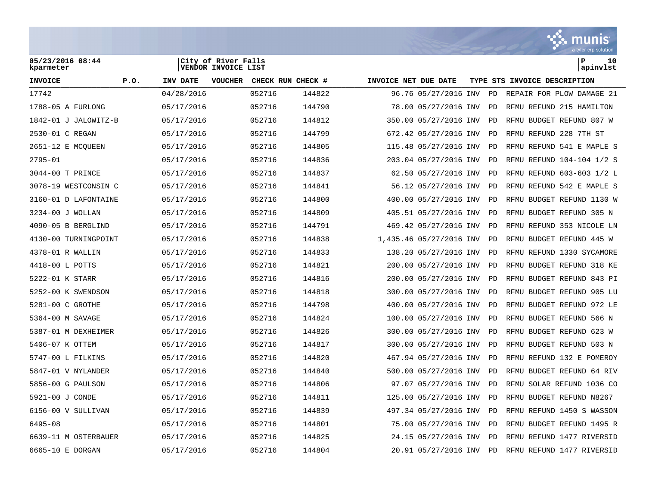

| 05/23/2016 08:44<br>kparmeter |                  | City of River Falls<br>VENDOR INVOICE LIST |                   |                      |                         |           | P<br>10<br>apinvlst          |
|-------------------------------|------------------|--------------------------------------------|-------------------|----------------------|-------------------------|-----------|------------------------------|
| <b>INVOICE</b>                | P.0.<br>INV DATE | <b>VOUCHER</b>                             | CHECK RUN CHECK # | INVOICE NET DUE DATE |                         |           | TYPE STS INVOICE DESCRIPTION |
| 17742                         | 04/28/2016       |                                            | 052716<br>144822  |                      | 96.76 05/27/2016 INV    | <b>PD</b> | REPAIR FOR PLOW DAMAGE 21    |
| 1788-05 A FURLONG             | 05/17/2016       |                                            | 052716<br>144790  |                      | 78.00 05/27/2016 INV    | PD        | RFMU REFUND 215 HAMILTON     |
| 1842-01 J JALOWITZ-B          | 05/17/2016       |                                            | 052716<br>144812  |                      | 350.00 05/27/2016 INV   | <b>PD</b> | RFMU BUDGET REFUND 807 W     |
| 2530-01 C REGAN               | 05/17/2016       |                                            | 052716<br>144799  |                      | 672.42 05/27/2016 INV   | <b>PD</b> | RFMU REFUND 228 7TH ST       |
| 2651-12 E MCQUEEN             | 05/17/2016       |                                            | 052716<br>144805  |                      | 115.48 05/27/2016 INV   | PD        | RFMU REFUND 541 E MAPLE S    |
| $2795 - 01$                   | 05/17/2016       |                                            | 052716<br>144836  |                      | 203.04 05/27/2016 INV   | <b>PD</b> | RFMU REFUND 104-104 1/2 S    |
| 3044-00 T PRINCE              | 05/17/2016       |                                            | 052716<br>144837  |                      | 62.50 05/27/2016 INV    | PD        | RFMU REFUND 603-603 1/2 L    |
| 3078-19 WESTCONSIN C          | 05/17/2016       |                                            | 052716<br>144841  |                      | 56.12 05/27/2016 INV    | <b>PD</b> | RFMU REFUND 542 E MAPLE S    |
| 3160-01 D LAFONTAINE          | 05/17/2016       |                                            | 052716<br>144800  |                      | 400.00 05/27/2016 INV   | PD        | RFMU BUDGET REFUND 1130 W    |
| 3234-00 J WOLLAN              | 05/17/2016       |                                            | 052716<br>144809  |                      | 405.51 05/27/2016 INV   | PD        | RFMU BUDGET REFUND 305 N     |
| 4090-05 B BERGLIND            | 05/17/2016       |                                            | 052716<br>144791  |                      | 469.42 05/27/2016 INV   | <b>PD</b> | RFMU REFUND 353 NICOLE LN    |
| 4130-00 TURNINGPOINT          | 05/17/2016       |                                            | 052716<br>144838  |                      | 1,435.46 05/27/2016 INV | <b>PD</b> | RFMU BUDGET REFUND 445 W     |
| 4378-01 R WALLIN              | 05/17/2016       |                                            | 052716<br>144833  |                      | 138.20 05/27/2016 INV   | PD        | RFMU REFUND 1330 SYCAMORE    |
| 4418-00 L POTTS               | 05/17/2016       |                                            | 052716<br>144821  |                      | 200.00 05/27/2016 INV   | <b>PD</b> | RFMU BUDGET REFUND 318 KE    |
| 5222-01 K STARR               | 05/17/2016       |                                            | 052716<br>144816  |                      | 200.00 05/27/2016 INV   | PD        | BUDGET REFUND 843 PI<br>RFMU |
| 5252-00 K SWENDSON            | 05/17/2016       |                                            | 052716<br>144818  |                      | 300.00 05/27/2016 INV   | <b>PD</b> | RFMU BUDGET REFUND 905 LU    |
| 5281-00 C GROTHE              | 05/17/2016       |                                            | 052716<br>144798  |                      | 400.00 05/27/2016 INV   | <b>PD</b> | RFMU BUDGET REFUND 972 LE    |
| 5364-00 M SAVAGE              | 05/17/2016       |                                            | 052716<br>144824  |                      | 100.00 05/27/2016 INV   | PD        | RFMU BUDGET REFUND 566 N     |
| 5387-01 M DEXHEIMER           | 05/17/2016       |                                            | 052716<br>144826  |                      | 300.00 05/27/2016 INV   | <b>PD</b> | RFMU BUDGET REFUND 623 W     |
| 5406-07 K OTTEM               | 05/17/2016       |                                            | 052716<br>144817  |                      | 300.00 05/27/2016 INV   | PD        | RFMU BUDGET REFUND 503 N     |
| 5747-00 L FILKINS             | 05/17/2016       |                                            | 052716<br>144820  |                      | 467.94 05/27/2016 INV   | PD        | RFMU REFUND 132 E POMEROY    |
| 5847-01 V NYLANDER            | 05/17/2016       |                                            | 052716<br>144840  |                      | 500.00 05/27/2016 INV   | <b>PD</b> | RFMU BUDGET REFUND 64 RIV    |
| 5856-00 G PAULSON             | 05/17/2016       |                                            | 052716<br>144806  |                      | 97.07 05/27/2016 INV    | PD        | RFMU SOLAR REFUND 1036 CO    |
| 5921-00 J CONDE               | 05/17/2016       |                                            | 052716<br>144811  |                      | 125.00 05/27/2016 INV   | <b>PD</b> | RFMU BUDGET REFUND N8267     |
| 6156-00 V SULLIVAN            | 05/17/2016       |                                            | 052716<br>144839  |                      | 497.34 05/27/2016 INV   | <b>PD</b> | RFMU REFUND 1450 S WASSON    |
| 6495-08                       | 05/17/2016       |                                            | 052716<br>144801  |                      | 75.00 05/27/2016 INV    | <b>PD</b> | RFMU BUDGET REFUND 1495 R    |
| 6639-11 M OSTERBAUER          | 05/17/2016       |                                            | 052716<br>144825  |                      | 24.15 05/27/2016 INV    | <b>PD</b> | RFMU REFUND 1477 RIVERSID    |
| 6665-10 E DORGAN              | 05/17/2016       |                                            | 052716<br>144804  |                      | 20.91 05/27/2016 INV    | PD        | RFMU REFUND 1477 RIVERSID    |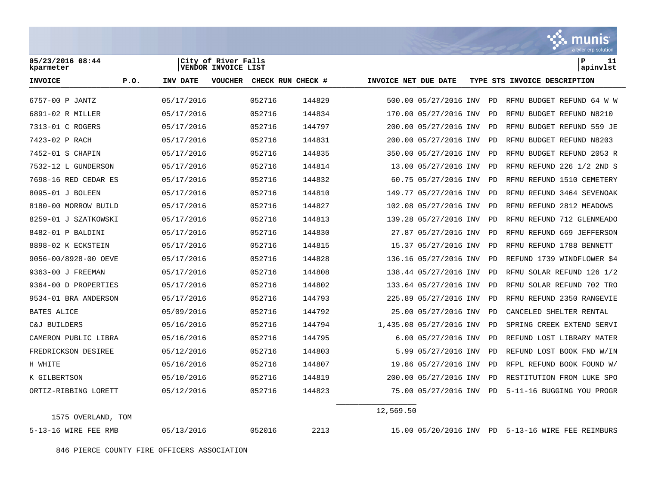

846 PIERCE COUNTY FIRE OFFICERS ASSOCIATION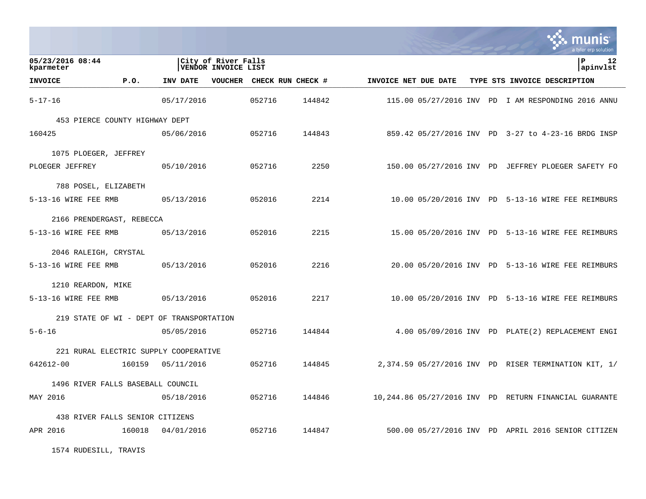|                                          |        |            |                                                   |                   |        |                      |  | a tyler erp solution                                  |
|------------------------------------------|--------|------------|---------------------------------------------------|-------------------|--------|----------------------|--|-------------------------------------------------------|
| 05/23/2016 08:44<br>kparmeter            |        |            | City of River Falls<br><b>VENDOR INVOICE LIST</b> |                   |        |                      |  | ΙP<br>12<br>apinvlst                                  |
| <b>INVOICE</b>                           | P.0.   | INV DATE   | <b>VOUCHER</b>                                    | CHECK RUN CHECK # |        | INVOICE NET DUE DATE |  | TYPE STS INVOICE DESCRIPTION                          |
| $5 - 17 - 16$                            |        | 05/17/2016 |                                                   | 052716            | 144842 |                      |  | 115.00 05/27/2016 INV PD I AM RESPONDING 2016 ANNU    |
| 453 PIERCE COUNTY HIGHWAY DEPT           |        |            |                                                   |                   |        |                      |  |                                                       |
| 160425                                   |        | 05/06/2016 |                                                   | 052716            | 144843 |                      |  | 859.42 05/27/2016 INV PD 3-27 to 4-23-16 BRDG INSP    |
| 1075 PLOEGER, JEFFREY                    |        |            |                                                   |                   |        |                      |  |                                                       |
| PLOEGER JEFFREY                          |        | 05/10/2016 |                                                   | 052716            | 2250   |                      |  | 150.00 05/27/2016 INV PD JEFFREY PLOEGER SAFETY FO    |
| 788 POSEL, ELIZABETH                     |        |            |                                                   |                   |        |                      |  |                                                       |
| 5-13-16 WIRE FEE RMB                     |        | 05/13/2016 |                                                   | 052016            | 2214   |                      |  | 10.00 05/20/2016 INV PD 5-13-16 WIRE FEE REIMBURS     |
| 2166 PRENDERGAST, REBECCA                |        |            |                                                   |                   |        |                      |  |                                                       |
| 5-13-16 WIRE FEE RMB                     |        | 05/13/2016 |                                                   | 052016            | 2215   |                      |  | 15.00 05/20/2016 INV PD 5-13-16 WIRE FEE REIMBURS     |
| 2046 RALEIGH, CRYSTAL                    |        |            |                                                   |                   |        |                      |  |                                                       |
| 5-13-16 WIRE FEE RMB                     |        | 05/13/2016 |                                                   | 052016            | 2216   |                      |  | 20.00 05/20/2016 INV PD 5-13-16 WIRE FEE REIMBURS     |
| 1210 REARDON, MIKE                       |        |            |                                                   |                   |        |                      |  |                                                       |
| 5-13-16 WIRE FEE RMB                     |        | 05/13/2016 |                                                   | 052016            | 2217   |                      |  | 10.00 05/20/2016 INV PD 5-13-16 WIRE FEE REIMBURS     |
| 219 STATE OF WI - DEPT OF TRANSPORTATION |        |            |                                                   |                   |        |                      |  |                                                       |
| $5 - 6 - 16$                             |        | 05/05/2016 |                                                   | 052716            | 144844 |                      |  | 4.00 05/09/2016 INV PD PLATE(2) REPLACEMENT ENGI      |
| 221 RURAL ELECTRIC SUPPLY COOPERATIVE    |        |            |                                                   |                   |        |                      |  |                                                       |
| 642612-00                                | 160159 | 05/11/2016 |                                                   | 052716            | 144845 |                      |  | 2,374.59 05/27/2016 INV PD RISER TERMINATION KIT, 1/  |
| 1496 RIVER FALLS BASEBALL COUNCIL        |        |            |                                                   |                   |        |                      |  |                                                       |
| MAY 2016                                 |        | 05/18/2016 |                                                   | 052716            | 144846 |                      |  | 10,244.86 05/27/2016 INV PD RETURN FINANCIAL GUARANTE |
| 438 RIVER FALLS SENIOR CITIZENS          |        |            |                                                   |                   |        |                      |  |                                                       |
| APR 2016                                 | 160018 | 04/01/2016 |                                                   | 052716            | 144847 |                      |  | 500.00 05/27/2016 INV PD APRIL 2016 SENIOR CITIZEN    |

1574 RUDESILL, TRAVIS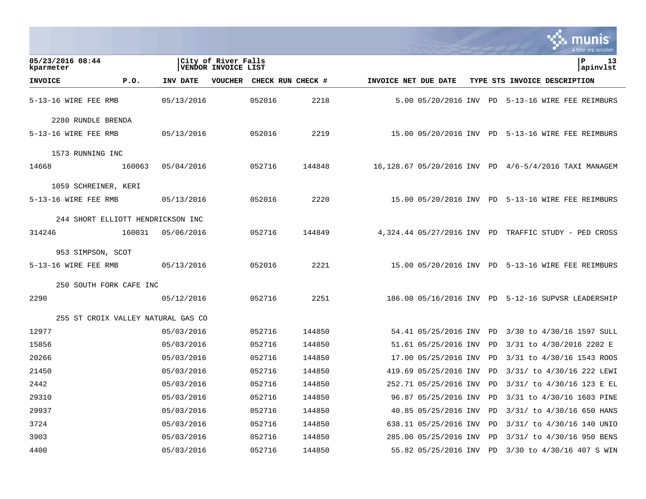|                                    |        |            |                                            |                   |                      |                             |    | a tyler erp solution                                 |
|------------------------------------|--------|------------|--------------------------------------------|-------------------|----------------------|-----------------------------|----|------------------------------------------------------|
| 05/23/2016 08:44<br>kparmeter      |        |            | City of River Falls<br>VENDOR INVOICE LIST |                   |                      |                             |    | l P<br>13<br>apinvlst                                |
| <b>INVOICE</b>                     | P.0.   | INV DATE   | <b>VOUCHER</b>                             | CHECK RUN CHECK # | INVOICE NET DUE DATE |                             |    | TYPE STS INVOICE DESCRIPTION                         |
| 5-13-16 WIRE FEE RMB               |        | 05/13/2016 | 052016                                     | 2218              |                      | 5.00 05/20/2016 INV         | PD | 5-13-16 WIRE FEE REIMBURS                            |
| 2280 RUNDLE BRENDA                 |        |            |                                            |                   |                      |                             |    |                                                      |
| 5-13-16 WIRE FEE RMB               |        | 05/13/2016 | 052016                                     | 2219              |                      |                             |    | 15.00 05/20/2016 INV PD 5-13-16 WIRE FEE REIMBURS    |
| 1573 RUNNING INC                   |        |            |                                            |                   |                      |                             |    |                                                      |
| 14668                              | 160063 | 05/04/2016 | 052716                                     | 144848            |                      | 16,128.67 05/20/2016 INV PD |    | 4/6-5/4/2016 TAXI MANAGEM                            |
| 1059 SCHREINER, KERI               |        |            |                                            |                   |                      |                             |    |                                                      |
| 5-13-16 WIRE FEE RMB               |        | 05/13/2016 | 052016                                     | 2220              |                      |                             |    | 15.00 05/20/2016 INV PD 5-13-16 WIRE FEE REIMBURS    |
| 244 SHORT ELLIOTT HENDRICKSON INC  |        |            |                                            |                   |                      |                             |    |                                                      |
| 314246                             | 160031 | 05/06/2016 | 052716                                     | 144849            |                      |                             |    | 4,324.44 05/27/2016 INV PD TRAFFIC STUDY - PED CROSS |
| 953 SIMPSON, SCOT                  |        |            |                                            |                   |                      |                             |    |                                                      |
| 5-13-16 WIRE FEE RMB               |        | 05/13/2016 | 052016                                     | 2221              |                      | 15.00 05/20/2016 INV PD     |    | 5-13-16 WIRE FEE REIMBURS                            |
| 250 SOUTH FORK CAFE INC            |        |            |                                            |                   |                      |                             |    |                                                      |
| 2290                               |        | 05/12/2016 | 052716                                     | 2251              |                      | 186.00 05/16/2016 INV PD    |    | 5-12-16 SUPVSR LEADERSHIP                            |
| 255 ST CROIX VALLEY NATURAL GAS CO |        |            |                                            |                   |                      |                             |    |                                                      |
| 12977                              |        | 05/03/2016 | 052716                                     | 144850            |                      | 54.41 05/25/2016 INV        | PD | 3/30 to 4/30/16 1597 SULL                            |
| 15856                              |        | 05/03/2016 | 052716                                     | 144850            |                      | 51.61 05/25/2016 INV        | PD | 3/31 to 4/30/2016 2202 E                             |
| 20266                              |        | 05/03/2016 | 052716                                     | 144850            |                      | 17.00 05/25/2016 INV        | PD | 3/31 to 4/30/16 1543 ROOS                            |
| 21450                              |        | 05/03/2016 | 052716                                     | 144850            |                      | 419.69 05/25/2016 INV       | PD | 3/31/ to 4/30/16 222 LEWI                            |
| 2442                               |        | 05/03/2016 | 052716                                     | 144850            |                      | 252.71 05/25/2016 INV       | PD | 3/31/ to 4/30/16 123 E EL                            |
| 29310                              |        | 05/03/2016 | 052716                                     | 144850            |                      |                             |    | 96.87 05/25/2016 INV PD 3/31 to 4/30/16 1603 PINE    |
| 29937                              |        | 05/03/2016 | 052716                                     | 144850            |                      | 40.85 05/25/2016 INV        | PD | 3/31/ to 4/30/16 650 HANS                            |
| 3724                               |        | 05/03/2016 | 052716                                     | 144850            |                      | 638.11 05/25/2016 INV       | PD | 3/31/ to 4/30/16 140 UNIO                            |
| 3903                               |        | 05/03/2016 | 052716                                     | 144850            |                      | 285.00 05/25/2016 INV PD    |    | 3/31/ to 4/30/16 950 BENS                            |
| 4400                               |        | 05/03/2016 | 052716                                     | 144850            |                      | 55.82 05/25/2016 INV PD     |    | 3/30 to 4/30/16 407 S WIN                            |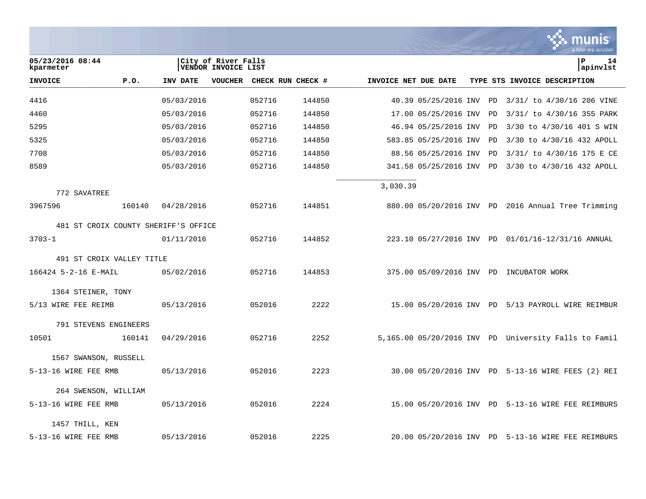|                                                                             |                                      |            |         |        |                   |                      |                          |  |    | nıs<br>a tyler erp solution                          |
|-----------------------------------------------------------------------------|--------------------------------------|------------|---------|--------|-------------------|----------------------|--------------------------|--|----|------------------------------------------------------|
| 05/23/2016 08:44<br>City of River Falls<br>VENDOR INVOICE LIST<br>kparmeter |                                      |            |         |        |                   |                      |                          |  |    | P<br>14<br>apinvlst                                  |
| <b>INVOICE</b>                                                              | P.0.                                 | INV DATE   | VOUCHER |        | CHECK RUN CHECK # | INVOICE NET DUE DATE |                          |  |    | TYPE STS INVOICE DESCRIPTION                         |
| 4416                                                                        |                                      | 05/03/2016 |         | 052716 | 144850            |                      | 40.39 05/25/2016 INV     |  | PD | 3/31/ to 4/30/16 206 VINE                            |
| 4460                                                                        |                                      | 05/03/2016 |         | 052716 | 144850            |                      | 17.00 05/25/2016 INV     |  | PD | 3/31/ to 4/30/16 355 PARK                            |
| 5295                                                                        |                                      | 05/03/2016 |         | 052716 | 144850            |                      | 46.94 05/25/2016 INV     |  | PD | 3/30 to 4/30/16 401 S WIN                            |
| 5325                                                                        |                                      | 05/03/2016 |         | 052716 | 144850            |                      | 583.85 05/25/2016 INV    |  | PD | 3/30 to 4/30/16 432 APOLL                            |
| 7708                                                                        |                                      | 05/03/2016 |         | 052716 | 144850            |                      | 88.56 05/25/2016 INV     |  | PD | 3/31/ to 4/30/16 175 E CE                            |
| 8589                                                                        |                                      | 05/03/2016 |         | 052716 | 144850            |                      | 341.58 05/25/2016 INV PD |  |    | 3/30 to 4/30/16 432 APOLL                            |
| 772 SAVATREE                                                                |                                      |            |         |        |                   | 3,030.39             |                          |  |    |                                                      |
| 3967596                                                                     | 160140                               | 04/28/2016 |         | 052716 | 144851            |                      |                          |  |    | 880.00 05/20/2016 INV PD 2016 Annual Tree Trimming   |
|                                                                             | 481 ST CROIX COUNTY SHERIFF'S OFFICE |            |         |        |                   |                      |                          |  |    |                                                      |
| $3703 - 1$                                                                  |                                      | 01/11/2016 |         | 052716 | 144852            |                      |                          |  |    | 223.10 05/27/2016 INV PD 01/01/16-12/31/16 ANNUAL    |
| 491 ST CROIX VALLEY TITLE                                                   |                                      |            |         |        |                   |                      |                          |  |    |                                                      |
| 166424 5-2-16 E-MAIL                                                        |                                      | 05/02/2016 |         | 052716 | 144853            |                      |                          |  |    | 375.00 05/09/2016 INV PD INCUBATOR WORK              |
| 1364 STEINER, TONY                                                          |                                      |            |         |        |                   |                      |                          |  |    |                                                      |
| 5/13 WIRE FEE REIMB                                                         |                                      | 05/13/2016 |         | 052016 | 2222              |                      |                          |  |    | 15.00 05/20/2016 INV PD 5/13 PAYROLL WIRE REIMBUR    |
| 791 STEVENS ENGINEERS                                                       |                                      |            |         |        |                   |                      |                          |  |    |                                                      |
| 10501                                                                       | 160141                               | 04/29/2016 |         | 052716 | 2252              |                      |                          |  |    | 5,165.00 05/20/2016 INV PD University Falls to Famil |
| 1567 SWANSON, RUSSELL                                                       |                                      |            |         |        |                   |                      |                          |  |    |                                                      |
| 5-13-16 WIRE FEE RMB                                                        |                                      | 05/13/2016 |         | 052016 | 2223              |                      |                          |  |    | 30.00 05/20/2016 INV PD 5-13-16 WIRE FEES (2) REI    |
| 264 SWENSON, WILLIAM                                                        |                                      |            |         |        |                   |                      |                          |  |    |                                                      |
| 5-13-16 WIRE FEE RMB                                                        |                                      | 05/13/2016 |         | 052016 | 2224              |                      |                          |  |    | 15.00 05/20/2016 INV PD 5-13-16 WIRE FEE REIMBURS    |
| 1457 THILL, KEN                                                             |                                      |            |         |        |                   |                      |                          |  |    |                                                      |
| 5-13-16 WIRE FEE RMB                                                        |                                      | 05/13/2016 |         | 052016 | 2225              |                      |                          |  |    | 20.00 05/20/2016 INV PD 5-13-16 WIRE FEE REIMBURS    |

and the control of the control of the control of

**Tara**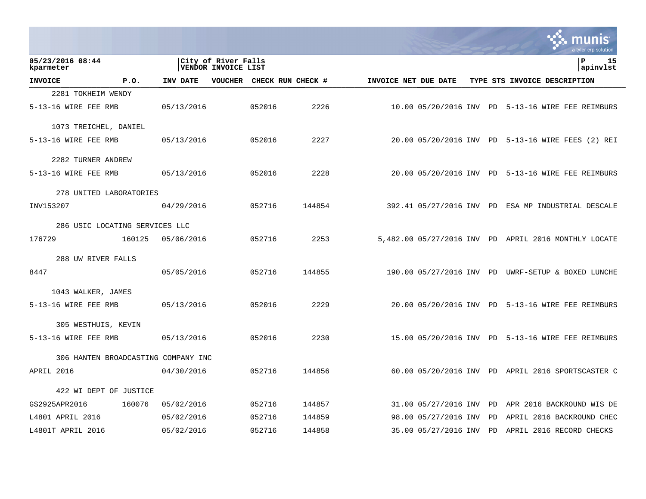|                                     |                                |            |                                            |                   |        |                      |                          |  |    | munis<br>a tyler erp solution                        |
|-------------------------------------|--------------------------------|------------|--------------------------------------------|-------------------|--------|----------------------|--------------------------|--|----|------------------------------------------------------|
| 05/23/2016 08:44<br>kparmeter       |                                |            | City of River Falls<br>VENDOR INVOICE LIST |                   |        |                      |                          |  |    | l P<br>15<br>apinvlst                                |
| <b>INVOICE</b>                      | P.0.                           | INV DATE   | <b>VOUCHER</b>                             | CHECK RUN CHECK # |        | INVOICE NET DUE DATE |                          |  |    | TYPE STS INVOICE DESCRIPTION                         |
| 2281 TOKHEIM WENDY                  |                                |            |                                            |                   |        |                      |                          |  |    |                                                      |
| 5-13-16 WIRE FEE RMB                |                                | 05/13/2016 |                                            | 052016            | 2226   |                      | 10.00 05/20/2016 INV     |  | PD | 5-13-16 WIRE FEE REIMBURS                            |
| 1073 TREICHEL, DANIEL               |                                |            |                                            |                   |        |                      |                          |  |    |                                                      |
| 5-13-16 WIRE FEE RMB                |                                | 05/13/2016 |                                            | 052016            | 2227   |                      |                          |  |    | 20.00 05/20/2016 INV PD 5-13-16 WIRE FEES (2) REI    |
| 2282 TURNER ANDREW                  |                                |            |                                            |                   |        |                      |                          |  |    |                                                      |
| 5-13-16 WIRE FEE RMB                |                                | 05/13/2016 |                                            | 052016            | 2228   |                      |                          |  |    | 20.00 05/20/2016 INV PD 5-13-16 WIRE FEE REIMBURS    |
| 278 UNITED LABORATORIES             |                                |            |                                            |                   |        |                      |                          |  |    |                                                      |
| INV153207                           |                                | 04/29/2016 |                                            | 052716            | 144854 |                      | 392.41 05/27/2016 INV PD |  |    | ESA MP INDUSTRIAL DESCALE                            |
|                                     | 286 USIC LOCATING SERVICES LLC |            |                                            |                   |        |                      |                          |  |    |                                                      |
| 176729                              | 160125                         | 05/06/2016 |                                            | 052716            | 2253   |                      |                          |  |    | 5,482.00 05/27/2016 INV PD APRIL 2016 MONTHLY LOCATE |
| 288 UW RIVER FALLS                  |                                |            |                                            |                   |        |                      |                          |  |    |                                                      |
| 8447                                |                                | 05/05/2016 |                                            | 052716            | 144855 |                      |                          |  |    | 190.00 05/27/2016 INV PD UWRF-SETUP & BOXED LUNCHE   |
| 1043 WALKER, JAMES                  |                                |            |                                            |                   |        |                      |                          |  |    |                                                      |
| 5-13-16 WIRE FEE RMB                |                                | 05/13/2016 |                                            | 052016            | 2229   |                      |                          |  |    | 20.00 05/20/2016 INV PD 5-13-16 WIRE FEE REIMBURS    |
| 305 WESTHUIS, KEVIN                 |                                |            |                                            |                   |        |                      |                          |  |    |                                                      |
| 5-13-16 WIRE FEE RMB                |                                | 05/13/2016 |                                            | 052016            | 2230   |                      |                          |  |    | 15.00 05/20/2016 INV PD 5-13-16 WIRE FEE REIMBURS    |
| 306 HANTEN BROADCASTING COMPANY INC |                                |            |                                            |                   |        |                      |                          |  |    |                                                      |
| APRIL 2016                          |                                | 04/30/2016 |                                            | 052716            | 144856 |                      |                          |  |    | 60.00 05/20/2016 INV PD APRIL 2016 SPORTSCASTER C    |
| 422 WI DEPT OF JUSTICE              |                                |            |                                            |                   |        |                      |                          |  |    |                                                      |
| GS2925APR2016                       | 160076                         | 05/02/2016 |                                            | 052716            | 144857 |                      | 31.00 05/27/2016 INV     |  | PD | APR 2016 BACKROUND WIS DE                            |
| L4801 APRIL 2016                    |                                | 05/02/2016 |                                            | 052716            | 144859 |                      | 98.00 05/27/2016 INV     |  | PD | APRIL 2016 BACKROUND CHEC                            |
| L4801T APRIL 2016                   |                                | 05/02/2016 |                                            | 052716            | 144858 |                      | 35.00 05/27/2016 INV     |  | PD | APRIL 2016 RECORD CHECKS                             |